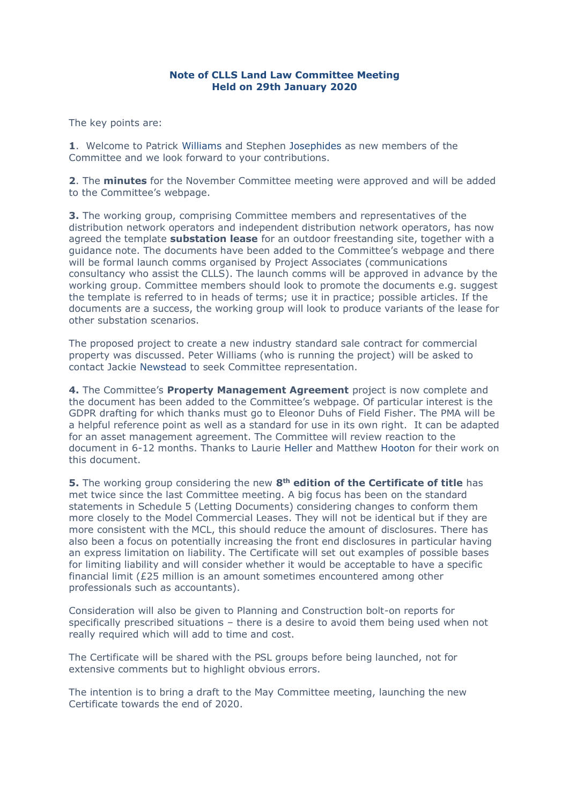## **Note of CLLS Land Law Committee Meeting Held on 29th January 2020**

The key points are:

**1**. Welcome to Patrick Williams and Stephen Josephides as new members of the Committee and we look forward to your contributions.

**2**. The **minutes** for the November Committee meeting were approved and will be added to the Committee's webpage.

**3.** The working group, comprising Committee members and representatives of the distribution network operators and independent distribution network operators, has now agreed the template **substation lease** for an outdoor freestanding site, together with a guidance note. The documents have been added to the Committee's webpage and there will be formal launch comms organised by Project Associates (communications consultancy who assist the CLLS). The launch comms will be approved in advance by the working group. Committee members should look to promote the documents e.g. suggest the template is referred to in heads of terms; use it in practice; possible articles. If the documents are a success, the working group will look to produce variants of the lease for other substation scenarios.

The proposed project to create a new industry standard sale contract for commercial property was discussed. Peter Williams (who is running the project) will be asked to contact Jackie Newstead to seek Committee representation.

**4.** The Committee's **Property Management Agreement** project is now complete and the document has been added to the Committee's webpage. Of particular interest is the GDPR drafting for which thanks must go to Eleonor Duhs of Field Fisher. The PMA will be a helpful reference point as well as a standard for use in its own right. It can be adapted for an asset management agreement. The Committee will review reaction to the document in 6-12 months. Thanks to Laurie Heller and Matthew Hooton for their work on this document.

**5.** The working group considering the new 8<sup>th</sup> edition of the Certificate of title has met twice since the last Committee meeting. A big focus has been on the standard statements in Schedule 5 (Letting Documents) considering changes to conform them more closely to the Model Commercial Leases. They will not be identical but if they are more consistent with the MCL, this should reduce the amount of disclosures. There has also been a focus on potentially increasing the front end disclosures in particular having an express limitation on liability. The Certificate will set out examples of possible bases for limiting liability and will consider whether it would be acceptable to have a specific financial limit (£25 million is an amount sometimes encountered among other professionals such as accountants).

Consideration will also be given to Planning and Construction bolt-on reports for specifically prescribed situations – there is a desire to avoid them being used when not really required which will add to time and cost.

The Certificate will be shared with the PSL groups before being launched, not for extensive comments but to highlight obvious errors.

The intention is to bring a draft to the May Committee meeting, launching the new Certificate towards the end of 2020.